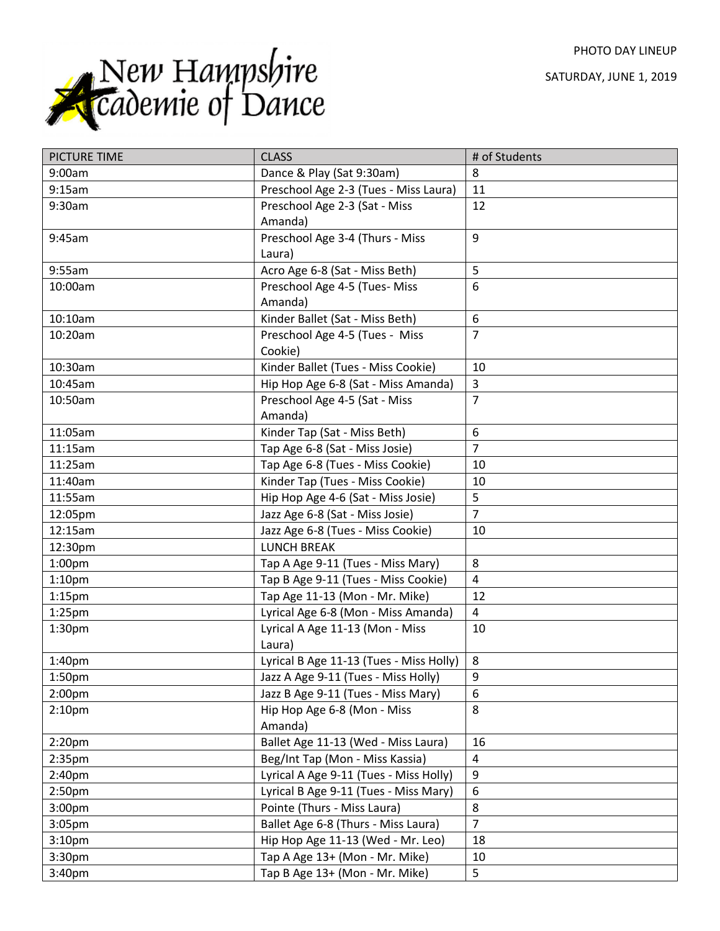PHOTO DAY LINEUP

SATURDAY, JUNE 1, 2019



| PICTURE TIME       | <b>CLASS</b>                            | # of Students  |
|--------------------|-----------------------------------------|----------------|
| 9:00am             | Dance & Play (Sat 9:30am)               | 8              |
| 9:15am             | Preschool Age 2-3 (Tues - Miss Laura)   | 11             |
| 9:30am             | Preschool Age 2-3 (Sat - Miss           | 12             |
|                    | Amanda)                                 |                |
| 9:45am             | Preschool Age 3-4 (Thurs - Miss         | 9              |
|                    | Laura)                                  |                |
| 9:55am             | Acro Age 6-8 (Sat - Miss Beth)          | 5              |
| 10:00am            | Preschool Age 4-5 (Tues- Miss           | 6              |
|                    | Amanda)                                 |                |
| 10:10am            | Kinder Ballet (Sat - Miss Beth)         | 6              |
| 10:20am            | Preschool Age 4-5 (Tues - Miss          | $\overline{7}$ |
|                    | Cookie)                                 |                |
| 10:30am            | Kinder Ballet (Tues - Miss Cookie)      | 10             |
| 10:45am            | Hip Hop Age 6-8 (Sat - Miss Amanda)     | 3              |
| 10:50am            | Preschool Age 4-5 (Sat - Miss           | $\overline{7}$ |
|                    | Amanda)                                 |                |
| 11:05am            | Kinder Tap (Sat - Miss Beth)            | 6              |
| 11:15am            | Tap Age 6-8 (Sat - Miss Josie)          | $\overline{7}$ |
| 11:25am            | Tap Age 6-8 (Tues - Miss Cookie)        | 10             |
| 11:40am            | Kinder Tap (Tues - Miss Cookie)         | 10             |
| 11:55am            | Hip Hop Age 4-6 (Sat - Miss Josie)      | 5              |
| 12:05pm            | Jazz Age 6-8 (Sat - Miss Josie)         | $\overline{7}$ |
| 12:15am            | Jazz Age 6-8 (Tues - Miss Cookie)       | 10             |
| 12:30pm            | <b>LUNCH BREAK</b>                      |                |
| 1:00 <sub>pm</sub> | Tap A Age 9-11 (Tues - Miss Mary)       | 8              |
| 1:10 <sub>pm</sub> | Tap B Age 9-11 (Tues - Miss Cookie)     | $\overline{4}$ |
| 1:15 <sub>pm</sub> | Tap Age 11-13 (Mon - Mr. Mike)          | 12             |
| $1:25$ pm          | Lyrical Age 6-8 (Mon - Miss Amanda)     | $\overline{4}$ |
| 1:30 <sub>pm</sub> | Lyrical A Age 11-13 (Mon - Miss         | 10             |
|                    | Laura)                                  |                |
| 1:40pm             | Lyrical B Age 11-13 (Tues - Miss Holly) | 8              |
| 1:50pm             | Jazz A Age 9-11 (Tues - Miss Holly)     | 9              |
| 2:00pm             | Jazz B Age 9-11 (Tues - Miss Mary)      | 6              |
| 2:10 <sub>pm</sub> | Hip Hop Age 6-8 (Mon - Miss             | 8              |
|                    | Amanda)                                 |                |
| 2:20 <sub>pm</sub> | Ballet Age 11-13 (Wed - Miss Laura)     | 16             |
| 2:35pm             | Beg/Int Tap (Mon - Miss Kassia)         | $\overline{4}$ |
| 2:40 <sub>pm</sub> | Lyrical A Age 9-11 (Tues - Miss Holly)  | 9              |
| 2:50pm             | Lyrical B Age 9-11 (Tues - Miss Mary)   | 6              |
| 3:00pm             | Pointe (Thurs - Miss Laura)             | 8              |
| 3:05pm             | Ballet Age 6-8 (Thurs - Miss Laura)     | $\overline{7}$ |
| 3:10 <sub>pm</sub> | Hip Hop Age 11-13 (Wed - Mr. Leo)       | 18             |
| 3:30pm             | Tap A Age 13+ (Mon - Mr. Mike)          | 10             |
| 3:40pm             | Tap B Age 13+ (Mon - Mr. Mike)          | 5              |